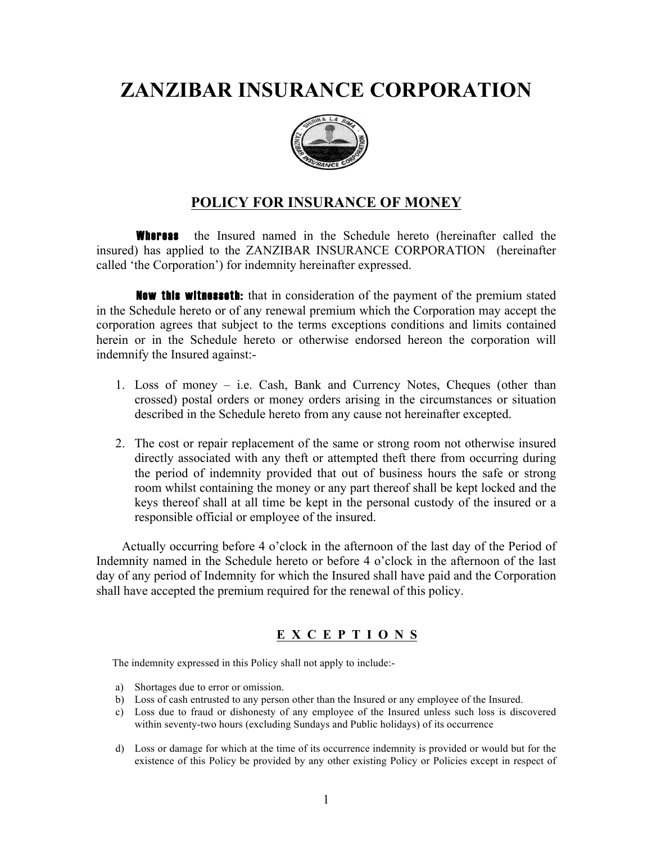# **ZANZIBAR INSURANCE CORPORATION**



## **POLICY FOR INSURANCE OF MONEY**

**Whereas** the Insured named in the Schedule hereto (hereinafter called the insured) has applied to the ZANZIBAR INSURANCE CORPORATION (hereinafter called 'the Corporation') for indemnity hereinafter expressed.

 Now this witnesseth: that in consideration of the payment of the premium stated in the Schedule hereto or of any renewal premium which the Corporation may accept the corporation agrees that subject to the terms exceptions conditions and limits contained herein or in the Schedule hereto or otherwise endorsed hereon the corporation will indemnify the Insured against:-

- 1. Loss of money i.e. Cash, Bank and Currency Notes, Cheques (other than crossed) postal orders or money orders arising in the circumstances or situation described in the Schedule hereto from any cause not hereinafter excepted.
- 2. The cost or repair replacement of the same or strong room not otherwise insured directly associated with any theft or attempted theft there from occurring during the period of indemnity provided that out of business hours the safe or strong room whilst containing the money or any part thereof shall be kept locked and the keys thereof shall at all time be kept in the personal custody of the insured or a responsible official or employee of the insured.

 Actually occurring before 4 o'clock in the afternoon of the last day of the Period of Indemnity named in the Schedule hereto or before 4 o'clock in the afternoon of the last day of any period of Indemnity for which the Insured shall have paid and the Corporation shall have accepted the premium required for the renewal of this policy.

### **E X C E P T I O N S**

The indemnity expressed in this Policy shall not apply to include:-

- a) Shortages due to error or omission.
- b) Loss of cash entrusted to any person other than the Insured or any employee of the Insured.
- c) Loss due to fraud or dishonesty of any employee of the Insured unless such loss is discovered within seventy-two hours (excluding Sundays and Public holidays) of its occurrence
- d) Loss or damage for which at the time of its occurrence indemnity is provided or would but for the existence of this Policy be provided by any other existing Policy or Policies except in respect of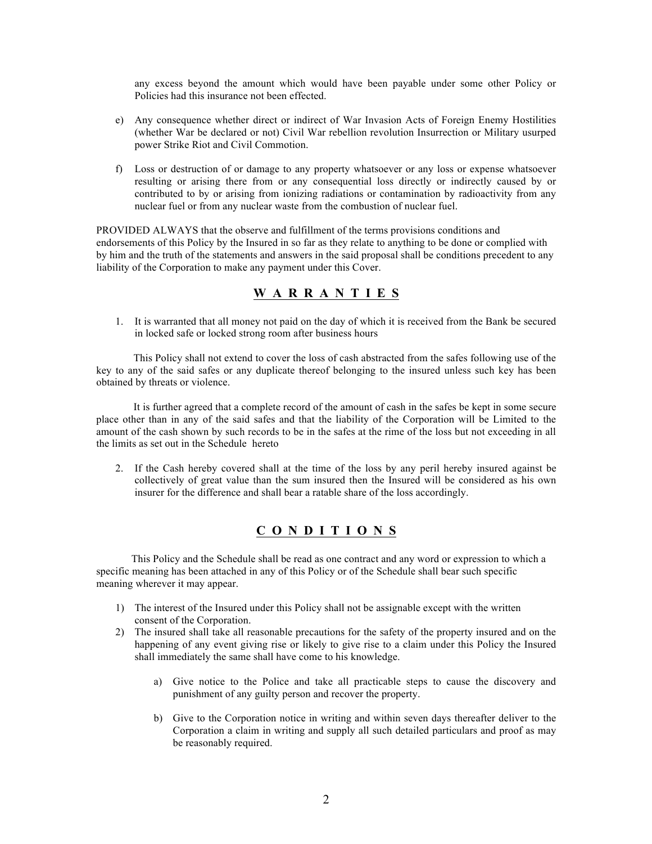any excess beyond the amount which would have been payable under some other Policy or Policies had this insurance not been effected.

- e) Any consequence whether direct or indirect of War Invasion Acts of Foreign Enemy Hostilities (whether War be declared or not) Civil War rebellion revolution Insurrection or Military usurped power Strike Riot and Civil Commotion.
- f) Loss or destruction of or damage to any property whatsoever or any loss or expense whatsoever resulting or arising there from or any consequential loss directly or indirectly caused by or contributed to by or arising from ionizing radiations or contamination by radioactivity from any nuclear fuel or from any nuclear waste from the combustion of nuclear fuel.

PROVIDED ALWAYS that the observe and fulfillment of the terms provisions conditions and endorsements of this Policy by the Insured in so far as they relate to anything to be done or complied with by him and the truth of the statements and answers in the said proposal shall be conditions precedent to any liability of the Corporation to make any payment under this Cover.

#### **W A R R A N T I E S**

1. It is warranted that all money not paid on the day of which it is received from the Bank be secured in locked safe or locked strong room after business hours

 This Policy shall not extend to cover the loss of cash abstracted from the safes following use of the key to any of the said safes or any duplicate thereof belonging to the insured unless such key has been obtained by threats or violence.

 It is further agreed that a complete record of the amount of cash in the safes be kept in some secure place other than in any of the said safes and that the liability of the Corporation will be Limited to the amount of the cash shown by such records to be in the safes at the rime of the loss but not exceeding in all the limits as set out in the Schedule hereto

2. If the Cash hereby covered shall at the time of the loss by any peril hereby insured against be collectively of great value than the sum insured then the Insured will be considered as his own insurer for the difference and shall bear a ratable share of the loss accordingly.

#### **C O N D I T I O N S**

 This Policy and the Schedule shall be read as one contract and any word or expression to which a specific meaning has been attached in any of this Policy or of the Schedule shall bear such specific meaning wherever it may appear.

- 1) The interest of the Insured under this Policy shall not be assignable except with the written consent of the Corporation.
- 2) The insured shall take all reasonable precautions for the safety of the property insured and on the happening of any event giving rise or likely to give rise to a claim under this Policy the Insured shall immediately the same shall have come to his knowledge.
	- a) Give notice to the Police and take all practicable steps to cause the discovery and punishment of any guilty person and recover the property.
	- b) Give to the Corporation notice in writing and within seven days thereafter deliver to the Corporation a claim in writing and supply all such detailed particulars and proof as may be reasonably required.